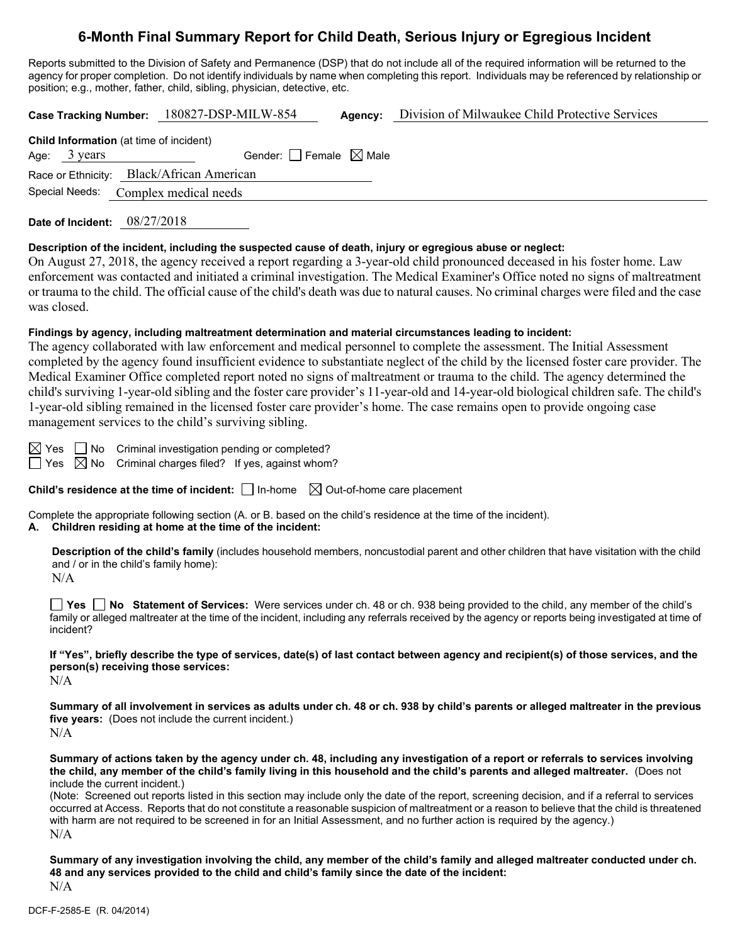## **6-Month Final Summary Report for Child Death, Serious Injury or Egregious Incident**

Reports submitted to the Division of Safety and Permanence (DSP) that do not include all of the required information will be returned to the agency for proper completion. Do not identify individuals by name when completing this report. Individuals may be referenced by relationship or position; e.g., mother, father, child, sibling, physician, detective, etc.

**Case Tracking Number:** 180827-DSP-MILW-854 **Agency:** Division of Milwaukee Child Protective Services

| Gender: $\Box$ Female $\boxtimes$ Male<br>Age: $3 \text{ years}$<br>Race or Ethnicity: Black/African American<br>Special Needs: Complex medical needs | <b>Child Information</b> (at time of incident) |  |  |  |  |
|-------------------------------------------------------------------------------------------------------------------------------------------------------|------------------------------------------------|--|--|--|--|
|                                                                                                                                                       |                                                |  |  |  |  |
|                                                                                                                                                       |                                                |  |  |  |  |
|                                                                                                                                                       |                                                |  |  |  |  |

**Date of Incident:** 08/27/2018

#### **Description of the incident, including the suspected cause of death, injury or egregious abuse or neglect:**

On August 27, 2018, the agency received a report regarding a 3-year-old child pronounced deceased in his foster home. Law enforcement was contacted and initiated a criminal investigation. The Medical Examiner's Office noted no signs of maltreatment or trauma to the child. The official cause of the child's death was due to natural causes. No criminal charges were filed and the case was closed.

#### **Findings by agency, including maltreatment determination and material circumstances leading to incident:**

The agency collaborated with law enforcement and medical personnel to complete the assessment. The Initial Assessment completed by the agency found insufficient evidence to substantiate neglect of the child by the licensed foster care provider. The Medical Examiner Office completed report noted no signs of maltreatment or trauma to the child. The agency determined the child's surviving 1-year-old sibling and the foster care provider's 11-year-old and 14-year-old biological children safe. The child's 1-year-old sibling remained in the licensed foster care provider's home. The case remains open to provide ongoing case management services to the child's surviving sibling.

 $\boxtimes$  Yes  $\Box$  No Criminal investigation pending or completed?

 $\Box$  Yes  $\boxtimes$  No Criminal charges filed? If yes, against whom?

**Child's residence at the time of incident:**  $\Box$  In-home  $\Box$  Out-of-home care placement

Complete the appropriate following section (A. or B. based on the child's residence at the time of the incident). **A. Children residing at home at the time of the incident:**

**Description of the child's family** (includes household members, noncustodial parent and other children that have visitation with the child and / or in the child's family home):

N/A

**Yes No Statement of Services:** Were services under ch. 48 or ch. 938 being provided to the child, any member of the child's family or alleged maltreater at the time of the incident, including any referrals received by the agency or reports being investigated at time of incident?

**If "Yes", briefly describe the type of services, date(s) of last contact between agency and recipient(s) of those services, and the person(s) receiving those services:**

N/A

**Summary of all involvement in services as adults under ch. 48 or ch. 938 by child's parents or alleged maltreater in the previous five years:** (Does not include the current incident.) N/A

**Summary of actions taken by the agency under ch. 48, including any investigation of a report or referrals to services involving the child, any member of the child's family living in this household and the child's parents and alleged maltreater.** (Does not include the current incident.)

(Note: Screened out reports listed in this section may include only the date of the report, screening decision, and if a referral to services occurred at Access. Reports that do not constitute a reasonable suspicion of maltreatment or a reason to believe that the child is threatened with harm are not required to be screened in for an Initial Assessment, and no further action is required by the agency.)  $N/A$ 

**Summary of any investigation involving the child, any member of the child's family and alleged maltreater conducted under ch. 48 and any services provided to the child and child's family since the date of the incident:** N/A